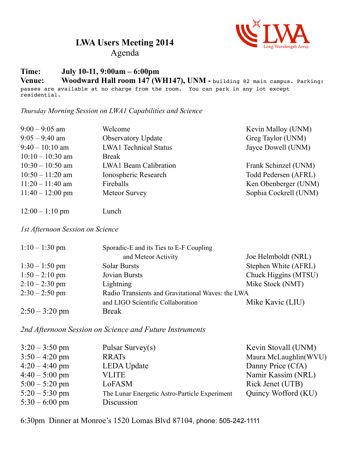

**LWA Users Meeting 2014**

## Agenda

## **Time: July 10-11, 9:00am – 6:00pm**

Venue: Woodward Hall room 147 (WH147), UNM - building 82 main campus. Parking: passes are available at no charge from the room. You can park in any lot except residential.

*Thursday Morning Session on LWA1 Capabilities and Science*

| $9:00 - 9:05$ am   | Welcome                      | Kevin Malloy (UNM)    |
|--------------------|------------------------------|-----------------------|
| $9:05 - 9:40$ am   | <b>Observatory Update</b>    | Greg Taylor (UNM)     |
| $9:40 - 10:10$ am  | <b>LWA1</b> Technical Status | Jayce Dowell (UNM)    |
| $10:10 - 10:30$ am | <b>Break</b>                 |                       |
| $10:30 - 10:50$ am | <b>LWA1 Beam Calibration</b> | Frank Schinzel (UNM)  |
| $10:50 - 11:20$ am | Ionospheric Research         | Todd Pedersen (AFRL)  |
| $11:20 - 11:40$ am | Fireballs                    | Ken Obenberger (UNM)  |
| $11:40 - 12:00$ pm | <b>Meteor Survey</b>         | Sophia Cockrell (UNM) |
|                    |                              |                       |

12:00 – 1:10 pm Lunch

*1st Afternoon Session on Science*

| $1:10 - 1:30$ pm | Sporadic-E and its Ties to E-F Coupling           |                      |  |
|------------------|---------------------------------------------------|----------------------|--|
|                  | and Meteor Activity                               | Joe Helmboldt (NRL)  |  |
| $1:30 - 1:50$ pm | <b>Solar Bursts</b>                               | Stephen White (AFRL) |  |
| $1:50 - 2:10$ pm | Jovian Bursts                                     | Chuck Higgins (MTSU) |  |
| $2:10-2:30$ pm   | Lightning                                         | Mike Stock (NMT)     |  |
| $2:30 - 2:50$ pm | Radio Transients and Gravitational Waves: the LWA |                      |  |
|                  | and LIGO Scientific Collaboration                 | Mike Kavic (LIU)     |  |
| $2:50 - 3:20$ pm | <b>Break</b>                                      |                      |  |

*2nd Afternoon Session on Science and Future Instruments*

| $3:20 - 3:50$ pm | Pulsar Survey $(s)$                           | Kevin Stovall (UNM)   |
|------------------|-----------------------------------------------|-----------------------|
| $3:50 - 4:20$ pm | <b>RRATS</b>                                  | Maura McLaughlin(WVU) |
| $4:20 - 4:40$ pm | <b>LEDA Update</b>                            | Danny Price (CfA)     |
| $4:40 - 5:00$ pm | <b>VLITE</b>                                  | Namir Kassim (NRL)    |
| $5:00 - 5:20$ pm | LoFASM                                        | Rick Jenet (UTB)      |
| $5:20 - 5:30$ pm | The Lunar Energetic Astro-Particle Experiment | Quincy Wofford (KU)   |
| $5:30 - 6:00$ pm | Discussion                                    |                       |

6:30pm Dinner at Monroe's 1520 Lomas Blvd 87104, phone: 505-242-1111